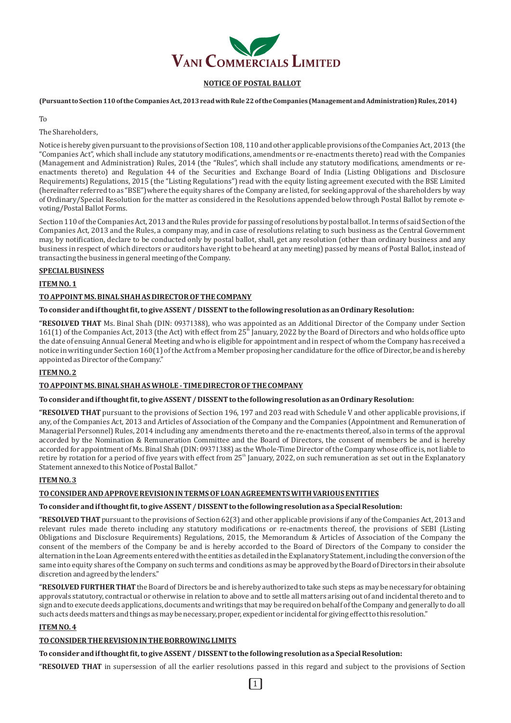

# **NOTICE OF POSTAL BALLOT**

(Pursuant to Section 110 of the Companies Act, 2013 read with Rule 22 of the Companies (Management and Administration) Rules, 2014)

#### To

The Shareholders,

Notice is hereby given pursuant to the provisions of Section 108, 110 and other applicable provisions of the Companies Act, 2013 (the "Companies Act", which shall include any statutory modifications, amendments or re-enactments thereto) read with the Companies (Management and Administration) Rules, 2014 (the "Rules", which shall include any statutory modifications, amendments or reenactments thereto) and Regulation 44 of the Securities and Exchange Board of India (Listing Obligations and Disclosure Requirements) Regulations, 2015 (the "Listing Regulations") read with the equity listing agreement executed with the BSE Limited (hereinafter referred to as "BSE")where the equity shares of the Company are listed, for seeking approval of the shareholders by way of Ordinary/Special Resolution for the matter as considered in the Resolutions appended below through Postal Ballot by remote evoting/Postal Ballot Forms.

Section 110 of the Companies Act, 2013 and the Rules provide for passing of resolutions by postal ballot. In terms of said Section of the Companies Act, 2013 and the Rules, a company may, and in case of resolutions relating to such business as the Central Government may, by notification, declare to be conducted only by postal ballot, shall, get any resolution (other than ordinary business and any business in respect of which directors or auditors have right to be heard at any meeting) passed by means of Postal Ballot, instead of transacting the business in general meeting of the Company.

## **SPECIAL BUSINESS**

**ITEM NO. 1** 

## TO APPOINT MS. BINAL SHAH AS DIRECTOR OF THE COMPANY

## To consider and if thought fit, to give ASSENT / DISSENT to the following resolution as an Ordinary Resolution:

**"RESOLVED THAT** Ms. Binal Shah (DIN: 09371388), who was appointed as an Additional Director of the Company under Section 161(1) of the Companies Act, 2013 (the Act) with effect from 25<sup>th</sup> January, 2022 by the Board of Directors and who holds office upto the date of ensuing Annual General Meeting and who is eligible for appointment and in respect of whom the Company has received a notice in writing under Section 160(1) of the Act from a Member proposing her candidature for the office of Director, be and is hereby appointed as Director of the Company."

# **ITEM NO. 2**

#### TO APPOINT MS. BINAL SHAH AS WHOLE - TIME DIRECTOR OF THE COMPANY

#### To consider and if thought fit, to give ASSENT / DISSENT to the following resolution as an Ordinary Resolution:

**"RESOLVED THAT** pursuant to the provisions of Section 196, 197 and 203 read with Schedule V and other applicable provisions, if any, of the Companies Act, 2013 and Articles of Association of the Company and the Companies (Appointment and Remuneration of Managerial Personnel) Rules, 2014 including any amendments thereto and the re-enactments thereof, also in terms of the approval accorded by the Nomination & Remuneration Committee and the Board of Directors, the consent of members be and is hereby accorded for appointment of Ms. Binal Shah (DIN: 09371388) as the Whole-Time Director of the Company whose office is, not liable to retire by rotation for a period of five years with effect from 25<sup>th</sup> January, 2022, on such remuneration as set out in the Explanatory Statement annexed to this Notice of Postal Ballot."

## **ITEM NO. 3**

# TO CONSIDER AND APPROVE REVISION IN TERMS OF LOAN AGREEMENTS WITH VARIOUS ENTITIES

#### To consider and if thought fit, to give ASSENT / DISSENT to the following resolution as a Special Resolution:

"RESOLVED THAT pursuant to the provisions of Section 62(3) and other applicable provisions if any of the Companies Act, 2013 and relevant rules made thereto including any statutory modifications or re-enactments thereof, the provisions of SEBI (Listing Obligations and Disclosure Requirements) Regulations, 2015, the Memorandum & Articles of Association of the Company the consent of the members of the Company be and is hereby accorded to the Board of Directors of the Company to consider the alternation in the Loan Agreements entered with the entities as detailed in the Explanatory Statement, including the conversion of the same into equity shares of the Company on such terms and conditions as may be approved by the Board of Directors in their absolute discretion and agreed by the lenders."

"RESOLVED FURTHER THAT the Board of Directors be and is hereby authorized to take such steps as may be necessary for obtaining approvals statutory, contractual or otherwise in relation to above and to settle all matters arising out of and incidental thereto and to sign and to execute deeds applications, documents and writings that may be required on behalf of the Company and generally to do all such acts deeds matters and things as may be necessary, proper, expedient or incidental for giving effect to this resolution."

# **ITEM NO. 4**

# **TO CONSIDER THE REVISION IN THE BORROWING LIMITS**

To consider and if thought fit, to give ASSENT / DISSENT to the following resolution as a Special Resolution:

"RESOLVED THAT in supersession of all the earlier resolutions passed in this regard and subject to the provisions of Section

l 1 l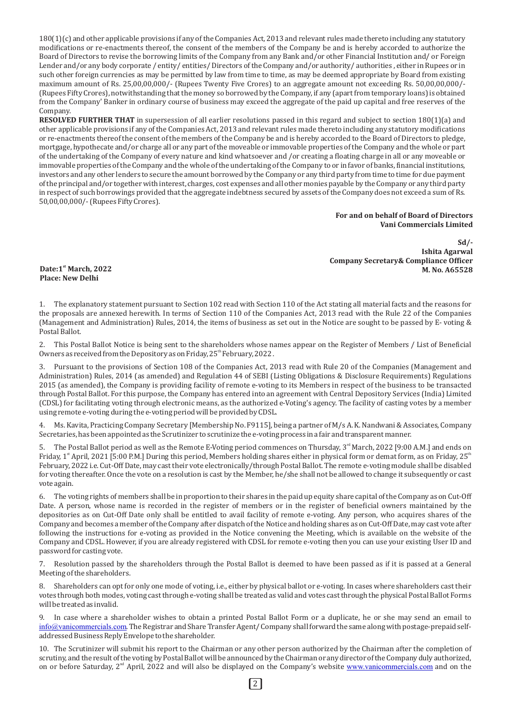$180(1)(c)$  and other applicable provisions if any of the Companies Act, 2013 and relevant rules made thereto including any statutory modifications or re-enactments thereof, the consent of the members of the Company be and is hereby accorded to authorize the Board of Directors to revise the borrowing limits of the Company from any Bank and/or other Financial Institution and/ or Foreign Lender and/or any body corporate / entity/ entities/ Directors of the Company and/or authority/ authorities, either in Rupees or in such other foreign currencies as may be permitted by law from time to time, as may be deemed appropriate by Board from existing maximum amount of Rs. 25,00,00,000/- (Rupees Twenty Five Crores) to an aggregate amount not exceeding Rs. 50,00,00,000/-(Rupees Fifty Crores), notwithstanding that the money so borrowed by the Company, if any (apart from temporary loans) is obtained from the Company' Banker in ordinary course of business may exceed the aggregate of the paid up capital and free reserves of the Company.

**RESOLVED FURTHER THAT** in supersession of all earlier resolutions passed in this regard and subject to section 180(1)(a) and other applicable provisions if any of the Companies Act, 2013 and relevant rules made thereto including any statutory modifications or re-enactments thereof the consent of the members of the Company be and is hereby accorded to the Board of Directors to pledge, mortgage, hypothecate and/or charge all or any part of the moveable or immovable properties of the Company and the whole or part of the undertaking of the Company of every nature and kind whatsoever and /or creating a floating charge in all or any moveable or immovable properties of the Company and the whole of the undertaking of the Company to or in favor of banks, financial institutions, investors and any other lenders to secure the amount borrowed by the Company or any third party from time to time for due payment of the principal and/or together with interest, charges, cost expenses and all other monies payable by the Company or any third party in respect of such borrowings provided that the aggregate indebtness secured by assets of the Company does not exceed a sum of Rs. 50,00,00,000/- (Rupees Fifty Crores).

#### **For and on behalf of Board of Directors Vani Commercials Limited**

**Sd/- Ishita Agarwal Company Secretary& Compliance Officer M.** No. A65528 **M.** No. A65528

**Place: New Delhi** 

1. The explanatory statement pursuant to Section 102 read with Section 110 of the Act stating all material facts and the reasons for the proposals are annexed herewith. In terms of Section 110 of the Companies Act, 2013 read with the Rule 22 of the Companies (Management and Administration) Rules, 2014, the items of business as set out in the Notice are sought to be passed by E- voting & Postal Ballot.

This Postal Ballot Notice is being sent to the shareholders whose names appear on the Register of Members / List of Beneficial Owners as received from the Depository as on Friday,  $25^{\text{th}}$  February, 2022.

3. Pursuant to the provisions of Section 108 of the Companies Act, 2013 read with Rule 20 of the Companies (Management and Administration) Rules, 2014 (as amended) and Regulation 44 of SEBI (Listing Obligations & Disclosure Requirements) Regulations 2015 (as amended), the Company is providing facility of remote e-voting to its Members in respect of the business to be transacted through Postal Ballot. For this purpose, the Company has entered into an agreement with Central Depository Services (India) Limited (CDSL) for facilitating voting through electronic means, as the authorized e-Voting's agency. The facility of casting votes by a member using remote e-voting during the e-voting period will be provided by CDSL.

4. Ms. Kavita, Practicing Company Secretary [Membership No. F9115], being a partner of M/s A. K. Nandwani & Associates, Company Secretaries, has been appointed as the Scrutinizer to scrutinize the e-voting process in a fair and transparent manner.

5. The Postal Ballot period as well as the Remote E-Voting period commences on Thursday,  $3<sup>rd</sup>$  March, 2022 [9:00 A.M.] and ends on Friday,  $1^{\text{st}}$  April, 2021 [5:00 P.M.] During this period, Members holding shares either in physical form or demat form, as on Friday, 25<sup>th</sup> February, 2022 i.e. Cut-Off Date, may cast their vote electronically/through Postal Ballot. The remote e-voting module shall be disabled for voting thereafter. Once the vote on a resolution is cast by the Member, he/she shall not be allowed to change it subsequently or cast vote again.

6. The voting rights of members shall be in proportion to their shares in the paid up equity share capital of the Company as on Cut-Off Date. A person, whose name is recorded in the register of members or in the register of beneficial owners maintained by the depositories as on Cut-Off Date only shall be entitled to avail facility of remote e-voting. Any person, who acquires shares of the Company and becomes a member of the Company after dispatch of the Notice and holding shares as on Cut-Off Date, may cast vote after following the instructions for e-voting as provided in the Notice convening the Meeting, which is available on the website of the Company and CDSL. However, if you are already registered with CDSL for remote e-voting then you can use your existing User ID and password for casting vote.

7. Resolution passed by the shareholders through the Postal Ballot is deemed to have been passed as if it is passed at a General Meeting of the shareholders.

8. Shareholders can opt for only one mode of voting, i.e., either by physical ballot or e-voting. In cases where shareholders cast their votes through both modes, voting cast through e-voting shall be treated as valid and votes cast through the physical Postal Ballot Forms will be treated as invalid.

9. In case where a shareholder wishes to obtain a printed Postal Ballot Form or a duplicate, he or she may send an email to [info@vanicommercials.com](mailto:info@vanicommercials.com). The Registrar and Share Transfer Agent/Company shall forward the same along with postage-prepaid selfaddressed Business Reply Envelope to the shareholder.

10. The Scrutinizer will submit his report to the Chairman or any other person authorized by the Chairman after the completion of scrutiny, and the result of the voting by Postal Ballot will be announced by the Chairman or any director of the Company duly authorized, on or before Saturday, 2<sup>nd</sup> April, 2022 and will also be displayed on the Company's website [www.vanicommercials.com](http://www.vanicommercials.com) and on the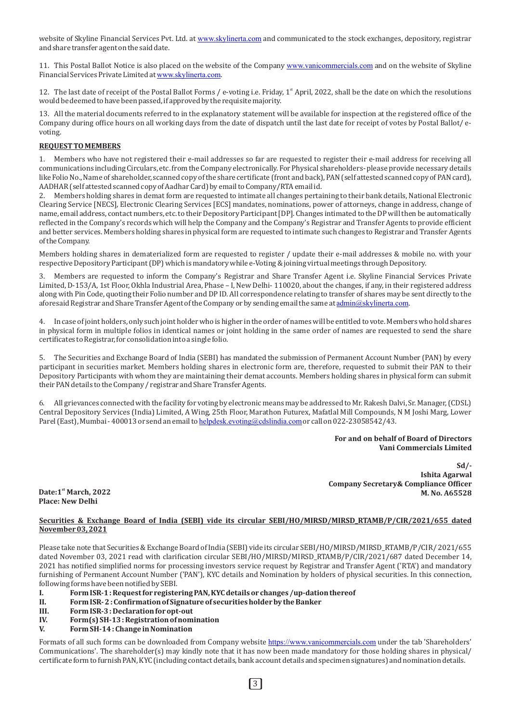website of Skyline Financial Services Pvt. Ltd. at [www.skylinerta.com](http://www.skylinerta.com) and communicated to the stock exchanges, depository, registrar and share transfer agent on the said date.

11. This Postal Ballot Notice is also placed on the website of the Company [www.vanicommercials.com](http://www.vanicommercials.com) and on the website of Skyline Financial Services Private Limited at [www.skylinerta.com](http://www.skylinerta.com).

12. The last date of receipt of the Postal Ballot Forms / e-voting i.e. Friday, 1<sup>st</sup> April, 2022, shall be the date on which the resolutions would be deemed to have been passed, if approved by the requisite majority.

13. All the material documents referred to in the explanatory statement will be available for inspection at the registered office of the Company during office hours on all working days from the date of dispatch until the last date for receipt of votes by Postal Ballot/ evoting.

# **REQUEST TO MEMBERS**

1. Members who have not registered their e-mail addresses so far are requested to register their e-mail address for receiving all communications including Circulars, etc. from the Company electronically. For Physical shareholders- please provide necessary details like Folio No., Name of shareholder, scanned copy of the share certificate (front and back), PAN (self attested scanned copy of PAN card), AADHAR (self attested scanned copy of Aadhar Card) by email to Company/RTA email id.

2. Members holding shares in demat form are requested to intimate all changes pertaining to their bank details, National Electronic Clearing Service [NECS], Electronic Clearing Services [ECS] mandates, nominations, power of attorneys, change in address, change of name, email address, contact numbers, etc. to their Depository Participant [DP]. Changes intimated to the DP will then be automatically reflected in the Company's records which will help the Company and the Company's Registrar and Transfer Agents to provide efficient and better services. Members holding shares in physical form are requested to intimate such changes to Registrar and Transfer Agents of the Company.

Members holding shares in dematerialized form are requested to register / update their e-mail addresses & mobile no. with your respective Depository Participant (DP) which is mandatory while e-Voting & joining virtual meetings through Depository.

3. Members are requested to inform the Company's Registrar and Share Transfer Agent i.e. Skyline Financial Services Private Limited, D-153/A, 1st Floor, Okhla Industrial Area, Phase - I, New Delhi-110020, about the changes, if any, in their registered address along with Pin Code, quoting their Folio number and DP ID. All correspondence relating to transfer of shares may be sent directly to the aforesaid Registrar and Share Transfer Agent of the Company or by sending email the same at [admin@skylinerta.com](mailto:admin@skylinerta.com).

4. In case of joint holders, only such joint holder who is higher in the order of names will be entitled to vote. Members who hold shares in physical form in multiple folios in identical names or joint holding in the same order of names are requested to send the share certificates to Registrar, for consolidation into a single folio.

5. The Securities and Exchange Board of India (SEBI) has mandated the submission of Permanent Account Number (PAN) by every participant in securities market. Members holding shares in electronic form are, therefore, requested to submit their PAN to their Depository Participants with whom they are maintaining their demat accounts. Members holding shares in physical form can submit their PAN details to the Company / registrar and Share Transfer Agents.

6. All grievances connected with the facility for voting by electronic means may be addressed to Mr. Rakesh Dalvi, Sr. Manager, (CDSL) Central Depository Services (India) Limited, A Wing, 25th Floor, Marathon Futurex, Mafatlal Mill Compounds, N M Joshi Marg, Lower Parel (East), Mumbai - 400013 or send an email to [helpdesk.evoting@cdslindia.com](mailto:helpdesk.evoting@cdslindia.com) or call on 022-23058542/43.

> For and on behalf of Board of Directors **Vani Commercials Limited**

**Sd/- Ishita Agarwal Company Secretary& Compliance Officer M.** No. A65528 **M.** No. A65528

**Place: New Delhi** 

## **Securities & Exchange Board of India (SEBI) vide its circular SEBI/HO/MIRSD/MIRSD\_RTAMB/P/CIR/2021/655 dated November 03, 2021**

Please take note that Securities & Exchange Board of India (SEBI) vide its circular SEBI/HO/MIRSD/MIRSD\_RTAMB/P/CIR/2021/655 dated November 03, 2021 read with clarification circular SEBI/HO/MIRSD/MIRSD\_RTAMB/P/CIR/2021/687 dated December 14, 2021 has notified simplified norms for processing investors service request by Registrar and Transfer Agent ('RTA') and mandatory furnishing of Permanent Account Number ('PAN'), KYC details and Nomination by holders of physical securities. In this connection, following forms have been notified by SEBI.

- **I.** Form ISR-1: Request for registering PAN, KYC details or changes /up-dation thereof
- **II.** Form ISR-2: Confirmation of Signature of securities holder by the Banker
- **III.** Form ISR-3: Declaration for opt-out
- **IV.** Form(s) SH-13: Registration of nomination
- **V. Form SH-14 : Change in Nomination**

Formats of all such forms can be downloaded from Company website <https://www.vanicommercials.com> under the tab 'Shareholders' Communications'. The shareholder(s) may kindly note that it has now been made mandatory for those holding shares in physical/ certificate form to furnish PAN, KYC (including contact details, bank account details and specimen signatures) and nomination details.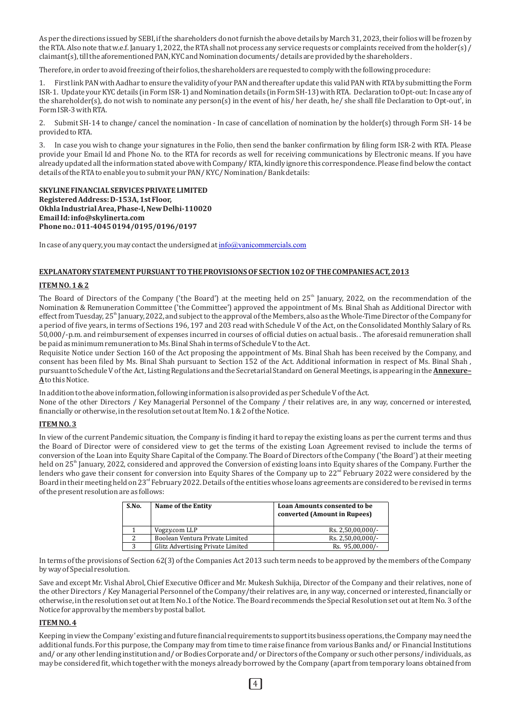As per the directions issued by SEBI, if the shareholders do not furnish the above details by March 31, 2023, their folios will be frozen by the RTA. Also note that w.e.f. January 1, 2022, the RTA shall not process any service requests or complaints received from the holder(s) / claimant(s), till the aforementioned PAN, KYC and Nomination documents/ details are provided by the shareholders.

Therefore, in order to avoid freezing of their folios, the shareholders are requested to comply with the following procedure:

1. First link PAN with Aadhar to ensure the validity of your PAN and thereafter update this valid PAN with RTA by submitting the Form ISR-1. Update your KYC details (in Form ISR-1) and Nomination details (in Form SH-13) with RTA. Declaration to Opt-out: In case any of the shareholder(s), do not wish to nominate any person(s) in the event of his/ her death, he/ she shall file Declaration to Opt-out', in Form ISR-3 with RTA.

2. Submit SH-14 to change/ cancel the nomination - In case of cancellation of nomination by the holder(s) through Form SH-14 be provided to RTA.

3. In case you wish to change your signatures in the Folio, then send the banker confirmation by filing form ISR-2 with RTA. Please provide your Email Id and Phone No. to the RTA for records as well for receiving communications by Electronic means. If you have already updated all the information stated above with Company/ RTA, kindly ignore this correspondence. Please find below the contact details of the RTA to enable you to submit your PAN/KYC/ Nomination/ Bank details:

**SKYLINE FINANCIAL SERVICES PRIVATE LIMITED** Registered Address: D-153A, 1st Floor, **Okhla Industrial Area, Phase-I, New Delhi-110020 Email Id: info@skylinerta.com Phone no.: 011-4045 0194/0195/0196/0197**

In case of any query, you may contact the undersigned at  $info@$ vanicommercials.com

#### **EXPLANATORY STATEMENT PURSUANT TO THE PROVISIONS OF SECTION 102 OF THE COMPANIES ACT, 2013**

#### **ITEM NO. 1 & 2**

The Board of Directors of the Company ('the Board') at the meeting held on  $25<sup>th</sup>$  Ianuary, 2022, on the recommendation of the Nomination & Remuneration Committee ('the Committee') approved the appointment of Ms. Binal Shah as Additional Director with effect from Tuesday,  $25^{\text{th}}$  January, 2022, and subject to the approval of the Members, also as the Whole-Time Director of the Company for a period of five years, in terms of Sections 196, 197 and 203 read with Schedule V of the Act, on the Consolidated Monthly Salary of Rs. 50,000/-p.m. and reimbursement of expenses incurred in courses of official duties on actual basis. The aforesaid remuneration shall be paid as minimum remuneration to Ms. Binal Shah in terms of Schedule V to the Act.

Requisite Notice under Section 160 of the Act proposing the appointment of Ms. Binal Shah has been received by the Company, and consent has been filed by Ms. Binal Shah pursuant to Section 152 of the Act. Additional information in respect of Ms. Binal Shah, pursuant to Schedule V of the Act, Listing Regulations and the Secretarial Standard on General Meetings, is appearing in the **Annexure-**A to this Notice.

In addition to the above information, following information is also provided as per Schedule V of the Act. None of the other Directors / Key Managerial Personnel of the Company / their relatives are, in any way, concerned or interested, financially or otherwise, in the resolution set out at Item No. 1 & 2 of the Notice.

#### **ITEM NO. 3**

In view of the current Pandemic situation, the Company is finding it hard to repay the existing loans as per the current terms and thus the Board of Director were of considered view to get the terms of the existing Loan Agreement revised to include the terms of conversion of the Loan into Equity Share Capital of the Company. The Board of Directors of the Company ('the Board') at their meeting held on 25<sup>th</sup> January, 2022, considered and approved the Conversion of existing loans into Equity shares of the Company. Further the lenders who gave their consent for conversion into Equity Shares of the Company up to  $22^{nd}$  February 2022 were considered by the Board in their meeting held on 23<sup>rd</sup> February 2022. Details of the entities whose loans agreements are considered to be revised in terms of the present resolution are as follows:

| S.No. | Name of the Entity                | Loan Amounts consented to be<br>converted (Amount in Rupees) |
|-------|-----------------------------------|--------------------------------------------------------------|
|       | Vogzy.com LLP                     | Rs. 2,50,00,000/-                                            |
|       | Boolean Ventura Private Limited   | Rs. 2,50,00,000/-                                            |
| 3     | Glitz Advertising Private Limited | Rs. 95,00,000/-                                              |

In terms of the provisions of Section 62(3) of the Companies Act 2013 such term needs to be approved by the members of the Company by way of Special resolution.

Save and except Mr. Vishal Abrol, Chief Executive Officer and Mr. Mukesh Sukhija, Director of the Company and their relatives, none of the other Directors / Key Managerial Personnel of the Company/their relatives are, in any way, concerned or interested, financially or otherwise, in the resolution set out at Item No.1 of the Notice. The Board recommends the Special Resolution set out at Item No. 3 of the Notice for approval by the members by postal ballot.

#### **ITEM NO. 4**

Keeping in view the Company' existing and future financial requirements to support its business operations, the Company may need the additional funds. For this purpose, the Company may from time to time raise finance from various Banks and/or Financial Institutions and/ or any other lending institution and/ or Bodies Corporate and/ or Directors of the Company or such other persons/individuals, as may be considered fit, which together with the moneys already borrowed by the Company (apart from temporary loans obtained from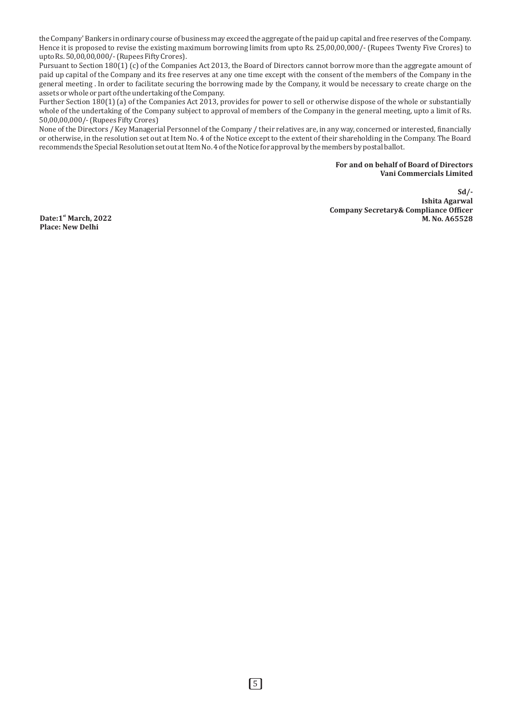the Company' Bankers in ordinary course of business may exceed the aggregate of the paid up capital and free reserves of the Company. Hence it is proposed to revise the existing maximum borrowing limits from upto Rs. 25,00,00,000/- (Rupees Twenty Five Crores) to upto  $\text{Rs.} 50,00,00,000/$ - (Rupees Fifty Crores).

Pursuant to Section  $180(1)(c)$  of the Companies Act 2013, the Board of Directors cannot borrow more than the aggregate amount of paid up capital of the Company and its free reserves at any one time except with the consent of the members of the Company in the general meeting . In order to facilitate securing the borrowing made by the Company, it would be necessary to create charge on the  $\frac{3}{1}$  assets or whole or part of the undertaking of the Company.

Further Section  $180(1)$  (a) of the Companies Act 2013, provides for power to sell or otherwise dispose of the whole or substantially whole of the undertaking of the Company subject to approval of members of the Company in the general meeting, upto a limit of Rs. 50,00,00,000/- (Rupees Fifty Crores)

None of the Directors / Key Managerial Personnel of the Company / their relatives are, in any way, concerned or interested, financially or otherwise, in the resolution set out at Item No. 4 of the Notice except to the extent of their shareholding in the Company. The Board recommends the Special Resolution set out at Item No. 4 of the Notice for approval by the members by postal ballot.

## For and on behalf of Board of Directors **Vani Commercials Limited**

**Sd/- Ishita Agarwal Company Secretary& Compliance Officer**<br>M. No. A65528

**Date:1**<sup>st</sup> March, 2022 **Place: New Delhi**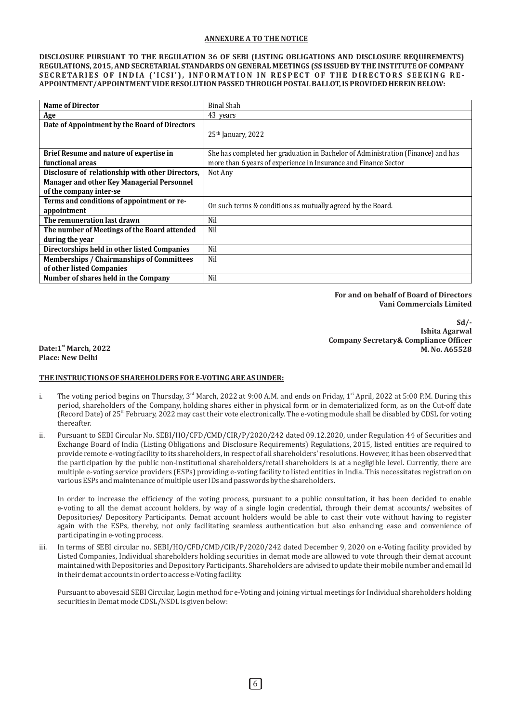## **ANNEXURE A TO THE NOTICE**

**DISCLOSURE PURSUANT TO THE REGULATION 36 OF SEBI (LISTING OBLIGATIONS AND DISCLOSURE REQUIREMENTS)** REGULATIONS, 2015, AND SECRETARIAL STANDARDS ON GENERAL MEETINGS (SS ISSUED BY THE INSTITUTE OF COMPANY SECRETARIES OF INDIA ('ICSI'), INFORMATION IN RESPECT OF THE DIRECTORS SEEKING RE-APPOINTMENT/APPOINTMENT VIDE RESOLUTION PASSED THROUGH POSTAL BALLOT, IS PROVIDED HEREIN BELOW:

| <b>Name of Director</b>                          | <b>Binal Shah</b>                                                                |
|--------------------------------------------------|----------------------------------------------------------------------------------|
| Age                                              | 43 years                                                                         |
| Date of Appointment by the Board of Directors    | $25th$ January, 2022                                                             |
|                                                  |                                                                                  |
| Brief Resume and nature of expertise in          | She has completed her graduation in Bachelor of Administration (Finance) and has |
| functional areas                                 | more than 6 years of experience in Insurance and Finance Sector                  |
| Disclosure of relationship with other Directors, | Not Any                                                                          |
| Manager and other Key Managerial Personnel       |                                                                                  |
| of the company inter-se                          |                                                                                  |
| Terms and conditions of appointment or re-       |                                                                                  |
| appointment                                      | On such terms & conditions as mutually agreed by the Board.                      |
| The remuneration last drawn                      | Nil                                                                              |
| The number of Meetings of the Board attended     | Nil                                                                              |
| during the year                                  |                                                                                  |
| Directorships held in other listed Companies     | Nil                                                                              |
| Memberships / Chairmanships of Committees        | Nil                                                                              |
| of other listed Companies                        |                                                                                  |
| Number of shares held in the Company             | Nil                                                                              |

For and on behalf of Board of Directors **Vani Commercials Limited** 

**Sd/- Ishita Agarwal Company Secretary& Compliance Officer M.** No. A65528 **M.** No. A65528

**Place: New Delhi** 

# THE INSTRUCTIONS OF SHAREHOLDERS FOR E-VOTING ARE AS UNDER:

- i. The voting period begins on Thursday,  $3<sup>rd</sup>$  March, 2022 at 9:00 A.M. and ends on Friday,  $1<sup>st</sup>$  April, 2022 at 5:00 P.M. During this period, shareholders of the Company, holding shares either in physical form or in dematerialized form, as on the Cut-off date (Record Date) of  $25<sup>th</sup>$  February, 2022 may cast their vote electronically. The e-voting module shall be disabled by CDSL for voting thereafter.
- ii. Pursuant to SEBI Circular No. SEBI/HO/CFD/CMD/CIR/P/2020/242 dated 09.12.2020, under Regulation 44 of Securities and Exchange Board of India (Listing Obligations and Disclosure Requirements) Regulations, 2015, listed entities are required to provide remote e-voting facility to its shareholders, in respect of all shareholders' resolutions. However, it has been observed that the participation by the public non-institutional shareholders/retail shareholders is at a negligible level. Currently, there are multiple e-voting service providers (ESPs) providing e-voting facility to listed entities in India. This necessitates registration on various ESPs and maintenance of multiple user IDs and passwords by the shareholders.

In order to increase the efficiency of the voting process, pursuant to a public consultation, it has been decided to enable e-voting to all the demat account holders, by way of a single login credential, through their demat accounts/ websites of Depositories/ Depository Participants. Demat account holders would be able to cast their vote without having to register again with the ESPs, thereby, not only facilitating seamless authentication but also enhancing ease and convenience of participating in e-voting process.

iii. In terms of SEBI circular no. SEBI/HO/CFD/CMD/CIR/P/2020/242 dated December 9, 2020 on e-Voting facility provided by Listed Companies, Individual shareholders holding securities in demat mode are allowed to vote through their demat account maintained with Depositories and Depository Participants. Shareholders are advised to update their mobile number and email Id in their demat accounts in order to access e-Voting facility.

Pursuant to abovesaid SEBI Circular, Login method for e-Voting and joining virtual meetings for Individual shareholders holding securities in Demat mode CDSL/NSDL is given below: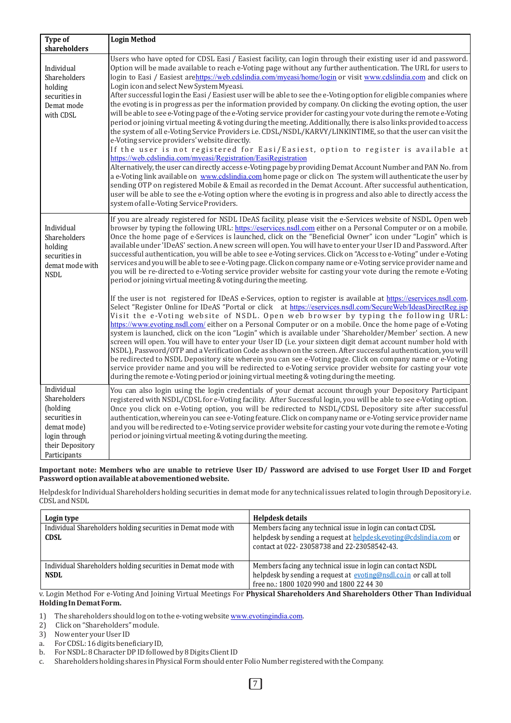| <b>Type of</b>                                                                                                              | <b>Login Method</b>                                                                                                                                                                                                                                                                                                                                                                                                                                                                                                                                                                                                                                                                                                                                                                                                                                                                                                                                                                                                                                                                                                                                                                                                                                                                                                                                                                                                                                                                                                                                                                                                                                                                                                              |
|-----------------------------------------------------------------------------------------------------------------------------|----------------------------------------------------------------------------------------------------------------------------------------------------------------------------------------------------------------------------------------------------------------------------------------------------------------------------------------------------------------------------------------------------------------------------------------------------------------------------------------------------------------------------------------------------------------------------------------------------------------------------------------------------------------------------------------------------------------------------------------------------------------------------------------------------------------------------------------------------------------------------------------------------------------------------------------------------------------------------------------------------------------------------------------------------------------------------------------------------------------------------------------------------------------------------------------------------------------------------------------------------------------------------------------------------------------------------------------------------------------------------------------------------------------------------------------------------------------------------------------------------------------------------------------------------------------------------------------------------------------------------------------------------------------------------------------------------------------------------------|
| shareholders                                                                                                                |                                                                                                                                                                                                                                                                                                                                                                                                                                                                                                                                                                                                                                                                                                                                                                                                                                                                                                                                                                                                                                                                                                                                                                                                                                                                                                                                                                                                                                                                                                                                                                                                                                                                                                                                  |
| Individual<br>Shareholders<br>holding<br>securities in<br>Demat mode<br>with CDSL                                           | Users who have opted for CDSL Easi / Easiest facility, can login through their existing user id and password.<br>Option will be made available to reach e-Voting page without any further authentication. The URL for users to<br>login to Easi / Easiest arehttps://web.cdslindia.com/myeasi/home/login or visit www.cdslindia.com and click on<br>Login icon and select New System Myeasi.<br>After successful login the Easi / Easiest user will be able to see the e-Voting option for eligible companies where<br>the evoting is in progress as per the information provided by company. On clicking the evoting option, the user<br>will be able to see e-Voting page of the e-Voting service provider for casting your vote during the remote e-Voting<br>period or joining virtual meeting & voting during the meeting. Additionally, there is also links provided to access<br>the system of all e-Voting Service Providers i.e. CDSL/NSDL/KARVY/LINKINTIME, so that the user can visit the<br>e-Voting service providers' website directly.<br>If the user is not registered for Easi/Easiest, option to register is available at<br>https://web.cdslindia.com/myeasi/Registration/EasiRegistration<br>Alternatively, the user can directly access e-Voting page by providing Demat Account Number and PAN No. from<br>a e-Voting link available on www.cdslindia.com home page or click on The system will authenticate the user by<br>sending OTP on registered Mobile & Email as recorded in the Demat Account. After successful authentication,<br>user will be able to see the e-Voting option where the evoting is in progress and also able to directly access the<br>system of all e-Voting Service Providers. |
| Individual<br>Shareholders<br>holding<br>securities in<br>demat mode with<br><b>NSDL</b>                                    | If you are already registered for NSDL IDeAS facility, please visit the e-Services website of NSDL. Open web<br>browser by typing the following URL: https://eservices.nsdl.com either on a Personal Computer or on a mobile.<br>Once the home page of e-Services is launched, click on the "Beneficial Owner" icon under "Login" which is<br>available under 'IDeAS' section. A new screen will open. You will have to enter your User ID and Password. After<br>successful authentication, you will be able to see e-Voting services. Click on "Access to e-Voting" under e-Voting<br>services and you will be able to see e-Voting page. Click on company name or e-Voting service provider name and<br>you will be re-directed to e-Voting service provider website for casting your vote during the remote e-Voting<br>period or joining virtual meeting & voting during the meeting.                                                                                                                                                                                                                                                                                                                                                                                                                                                                                                                                                                                                                                                                                                                                                                                                                                       |
|                                                                                                                             | If the user is not registered for IDeAS e-Services, option to register is available at https://eservices.nsdl.com.<br>Select "Register Online for IDeAS "Portal or click at https://eservices.nsdl.com/SecureWeb/IdeasDirectReg.jsp<br>Visit the e-Voting website of NSDL. Open web browser by typing the following URL:<br>https://www.evoting.nsdl.com/ either on a Personal Computer or on a mobile. Once the home page of e-Voting<br>system is launched, click on the icon "Login" which is available under 'Shareholder/Member' section. A new<br>screen will open. You will have to enter your User ID (i.e. your sixteen digit demat account number hold with<br>NSDL), Password/OTP and a Verification Code as shown on the screen. After successful authentication, you will<br>be redirected to NSDL Depository site wherein you can see e-Voting page. Click on company name or e-Voting<br>service provider name and you will be redirected to e-Voting service provider website for casting your vote<br>during the remote e-Voting period or joining virtual meeting & voting during the meeting.                                                                                                                                                                                                                                                                                                                                                                                                                                                                                                                                                                                                                 |
| Individual<br>Shareholders<br>(holding<br>securities in<br>demat mode)<br>login through<br>their Depository<br>Participants | You can also login using the login credentials of your demat account through your Depository Participant<br>registered with NSDL/CDSL for e-Voting facility. After Successful login, you will be able to see e-Voting option.<br>Once you click on e-Voting option, you will be redirected to NSDL/CDSL Depository site after successful<br>authentication, wherein you can see e-Voting feature. Click on company name or e-Voting service provider name<br>and you will be redirected to e-Voting service provider website for casting your vote during the remote e-Voting<br>period or joining virtual meeting & voting during the meeting.                                                                                                                                                                                                                                                                                                                                                                                                                                                                                                                                                                                                                                                                                                                                                                                                                                                                                                                                                                                                                                                                                  |

Important note: Members who are unable to retrieve User ID/ Password are advised to use Forget User ID and Forget **Password option available at abovementioned website.**

Helpdesk for Individual Shareholders holding securities in demat mode for any technical issues related to login through Depository i.e. CDSL and NSDL

| Login type                                                                   | Helpdesk details                                                                                                                                                                 |
|------------------------------------------------------------------------------|----------------------------------------------------------------------------------------------------------------------------------------------------------------------------------|
| Individual Shareholders holding securities in Demat mode with<br><b>CDSL</b> | Members facing any technical issue in login can contact CDSL<br>helpdesk by sending a request at helpdesk.evoting@cdslindia.com or                                               |
|                                                                              | contact at 022-23058738 and 22-23058542-43.                                                                                                                                      |
| Individual Shareholders holding securities in Demat mode with<br><b>NSDL</b> | Members facing any technical issue in login can contact NSDL<br>helpdesk by sending a request at evoting@nsdl.co.in or call at toll<br>free no.: 1800 1020 990 and 1800 22 44 30 |

v. Login Method For e-Voting And Joining Virtual Meetings For Physical Shareholders And Shareholders Other Than Individual **Holding In Demat Form.** 

- 1) The shareholders should log on to the e-voting website [www.evotingindia.com](http://www.evotingindia.com).
- 2) Click on "Shareholders" module.
- 3) Now enter your User ID
- a. For CDSL: 16 digits beneficiary ID,<br>b. For NSDL: 8 Character DP ID follow
- b. For NSDL: 8 Character DP ID followed by 8 Digits Client ID<br>c. Shareholders holding shares in Physical Form should enter
- Shareholders holding shares in Physical Form should enter Folio Number registered with the Company.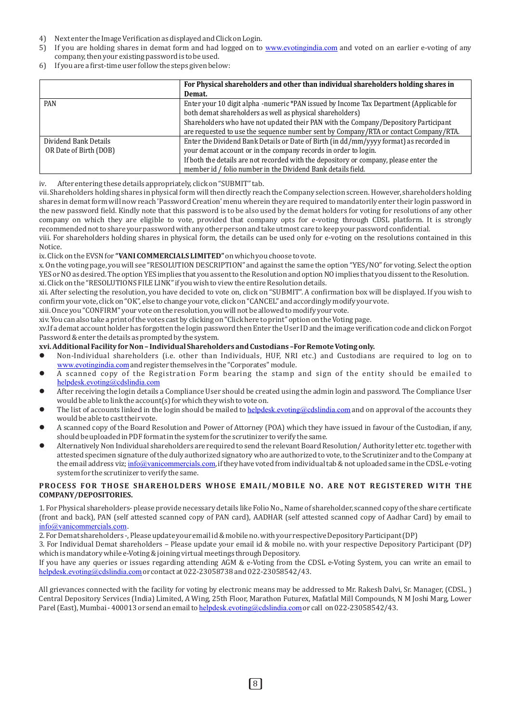- 4) Next enter the Image Verification as displayed and Click on Login.
- 5) If you are holding shares in demat form and had logged on to [www.evotingindia.com](http://www.evotingindia.com) and voted on an earlier e-voting of any company, then your existing password is to be used.
- 6) If you are a first-time user follow the steps given below:

|                        | For Physical shareholders and other than individual shareholders holding shares in      |
|------------------------|-----------------------------------------------------------------------------------------|
|                        | Demat.                                                                                  |
| PAN                    | Enter your 10 digit alpha -numeric *PAN issued by Income Tax Department (Applicable for |
|                        | both demat shareholders as well as physical shareholders)                               |
|                        | Shareholders who have not updated their PAN with the Company/Depository Participant     |
|                        | are requested to use the sequence number sent by Company/RTA or contact Company/RTA.    |
| Dividend Bank Details  | Enter the Dividend Bank Details or Date of Birth (in dd/mm/yyyy format) as recorded in  |
| OR Date of Birth (DOB) | your demat account or in the company records in order to login.                         |
|                        | If both the details are not recorded with the depository or company, please enter the   |
|                        | member id / folio number in the Dividend Bank details field.                            |

iv. After entering these details appropriately, click on "SUBMIT" tab.

vii. Shareholders holding shares in physical form will then directly reach the Company selection screen. However, shareholders holding shares in demat form will now reach 'Password Creation' menu wherein they are required to mandatorily enter their login password in the new password field. Kindly note that this password is to be also used by the demat holders for voting for resolutions of any other company on which they are eligible to vote, provided that company opts for e-voting through CDSL platform. It is strongly recommended not to share your password with any other person and take utmost care to keep your password confidential.

viii. For shareholders holding shares in physical form, the details can be used only for e-voting on the resolutions contained in this Notice.

ix. Click on the EVSN for "VANI COMMERCIALS LIMITED" on which you choose to vote.

x. On the voting page, you will see "RESOLUTION DESCRIPTION" and against the same the option "YES/NO" for voting. Select the option YES or NO as desired. The option YES implies that you assent to the Resolution and option NO implies that you dissent to the Resolution. xi. Click on the "RESOLUTIONS FILE LINK" if you wish to view the entire Resolution details.

xii. After selecting the resolution, you have decided to vote on, click on "SUBMIT". A confirmation box will be displayed. If you wish to confirm your vote, click on "OK", else to change your vote, click on "CANCEL" and accordingly modify your vote.

xiii. Once you "CONFIRM" your vote on the resolution, you will not be allowed to modify your vote.

xiv. You can also take a print of the votes cast by clicking on "Click here to print" option on the Voting page.

xv.If a demat account holder has forgotten the login password then Enter the User ID and the image verification code and click on Forgot Password & enter the details as prompted by the system.

#### xvi. Additional Facility for Non - Individual Shareholders and Custodians -For Remote Voting only.

- l Non-Individual shareholders (i.e. other than Individuals, HUF, NRI etc.) and Custodians are required to log on to [www.evotingindia.com](http://www.evotingindia.com) and register themselves in the "Corporates" module.
- l A scanned copy of the Registration Form bearing the stamp and sign of the entity should be emailed to [helpdesk.evoting@cdslindia.com](mailto:helpdesk.evoting@cdslindia.com)
- After receiving the login details a Compliance User should be created using the admin login and password. The Compliance User would be able to link the account(s) for which they wish to vote on.
- The list of accounts linked in the login should be mailed to [helpdesk.evoting@cdslindia.com](mailto:helpdesk.evoting@cdslindia.com) and on approval of the accounts they would be able to cast their vote.
- A scanned copy of the Board Resolution and Power of Attorney (POA) which they have issued in favour of the Custodian, if any, should be uploaded in PDF format in the system for the scrutinizer to verify the same.
- Alternatively Non Individual shareholders are required to send the relevant Board Resolution/Authority letter etc. together with attested specimen signature of the duly authorized signatory who are authorized to vote, to the Scrutinizer and to the Company at the email address viz; [info@vanicommercials.com](mailto:info@vanicommercials.com), if they have voted from individual tab & not uploaded same in the CDSL e-voting system for the scrutinizer to verify the same.

## **PROCESS FOR THOSE SHAREHOLDERS WHOSE EMAIL/MOBILE NO. ARE NOT REGISTERED WITH THE COMPANY/DEPOSITORIES.**

1. For Physical shareholders- please provide necessary details like Folio No., Name of shareholder, scanned copy of the share certificate (front and back), PAN (self attested scanned copy of PAN card), AADHAR (self attested scanned copy of Aadhar Card) by email to [info@vanicommercials.com](mailto:info@vanicommercials.com).

2. For Demat shareholders -, Please update your email id & mobile no. with your respective Depository Participant (DP)

3. For Individual Demat shareholders - Please update your email id & mobile no. with your respective Depository Participant (DP) which is mandatory while e-Voting & joining virtual meetings through Depository.

If you have any queries or issues regarding attending AGM & e-Voting from the CDSL e-Voting System, you can write an email to [helpdesk.evoting@cdslindia.com](mailto:helpdesk.evoting@cdslindia.com) or contact at 022-23058738 and 022-23058542/43.

All grievances connected with the facility for voting by electronic means may be addressed to Mr. Rakesh Dalvi, Sr. Manager, (CDSL, ) Central Depository Services (India) Limited, A Wing, 25th Floor, Marathon Futurex, Mafatlal Mill Compounds, N M Joshi Marg, Lower Parel (East), Mumbai - 400013 or send an email to [helpdesk.evoting@cdslindia.com](mailto:helpdesk.evoting@cdslindia.com) or call on 022-23058542/43.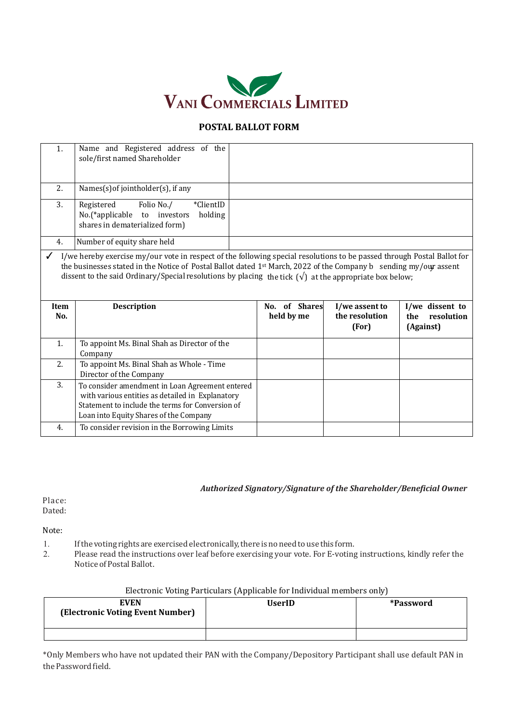

# **POSTAL BALLOT FORM**

| 1. | Name and Registered address of the<br>sole/first named Shareholder                                                 |  |
|----|--------------------------------------------------------------------------------------------------------------------|--|
| 2. | Names(s) of jointholder(s), if any                                                                                 |  |
| 3. | *ClientID<br>Folio No./<br>Registered<br>No.(*applicable to investors<br>holding<br>shares in dematerialized form) |  |
| 4. | Number of equity share held                                                                                        |  |
|    |                                                                                                                    |  |

I/we hereby exercise my/our vote in respect of the following special resolutions to be passed through Postal Ballot for the businesses stated in the Notice of Postal Ballot dated 1<sup>st</sup> March, 2022 of the Company b sending my/our assent dissent to the said Ordinary/Special resolutions by placing  $\,$  the tick  $\,(\sqrt)\,$  at the appropriate box below;

| Item<br>No. | <b>Description</b>                                                                                                                                                                                | No. of Shares<br>held by me | I/we assent to<br>the resolution<br>(For) | I/we dissent to<br>resolution<br>the<br>(Against) |
|-------------|---------------------------------------------------------------------------------------------------------------------------------------------------------------------------------------------------|-----------------------------|-------------------------------------------|---------------------------------------------------|
| 1.          | To appoint Ms. Binal Shah as Director of the<br>Company                                                                                                                                           |                             |                                           |                                                   |
| 2.          | To appoint Ms. Binal Shah as Whole - Time<br>Director of the Company                                                                                                                              |                             |                                           |                                                   |
| 3.          | To consider amendment in Loan Agreement entered<br>with various entities as detailed in Explanatory<br>Statement to include the terms for Conversion of<br>Loan into Equity Shares of the Company |                             |                                           |                                                   |
| 4.          | To consider revision in the Borrowing Limits                                                                                                                                                      |                             |                                           |                                                   |

# Authorized Signatory/Signature of the Shareholder/Beneficial Owner

Place: Dated:

Note:

- 1. If the voting rights are exercised electronically, there is no need to use this form.
- 2. Please read the instructions over leaf before exercising your vote. For E-voting instructions, kindly refer the Notice of Postal Ballot.

| Electronic Voting Particulars (Applicable for Individual members only) |  |  |
|------------------------------------------------------------------------|--|--|
|                                                                        |  |  |
|                                                                        |  |  |
|                                                                        |  |  |

| <b>EVEN</b><br>(Electronic Voting Event Number) | <b>UserID</b> | *Password |
|-------------------------------------------------|---------------|-----------|
|                                                 |               |           |

\*Only Members who have not updated their PAN with the Company/Depository Participant shall use default PAN in the Password field.